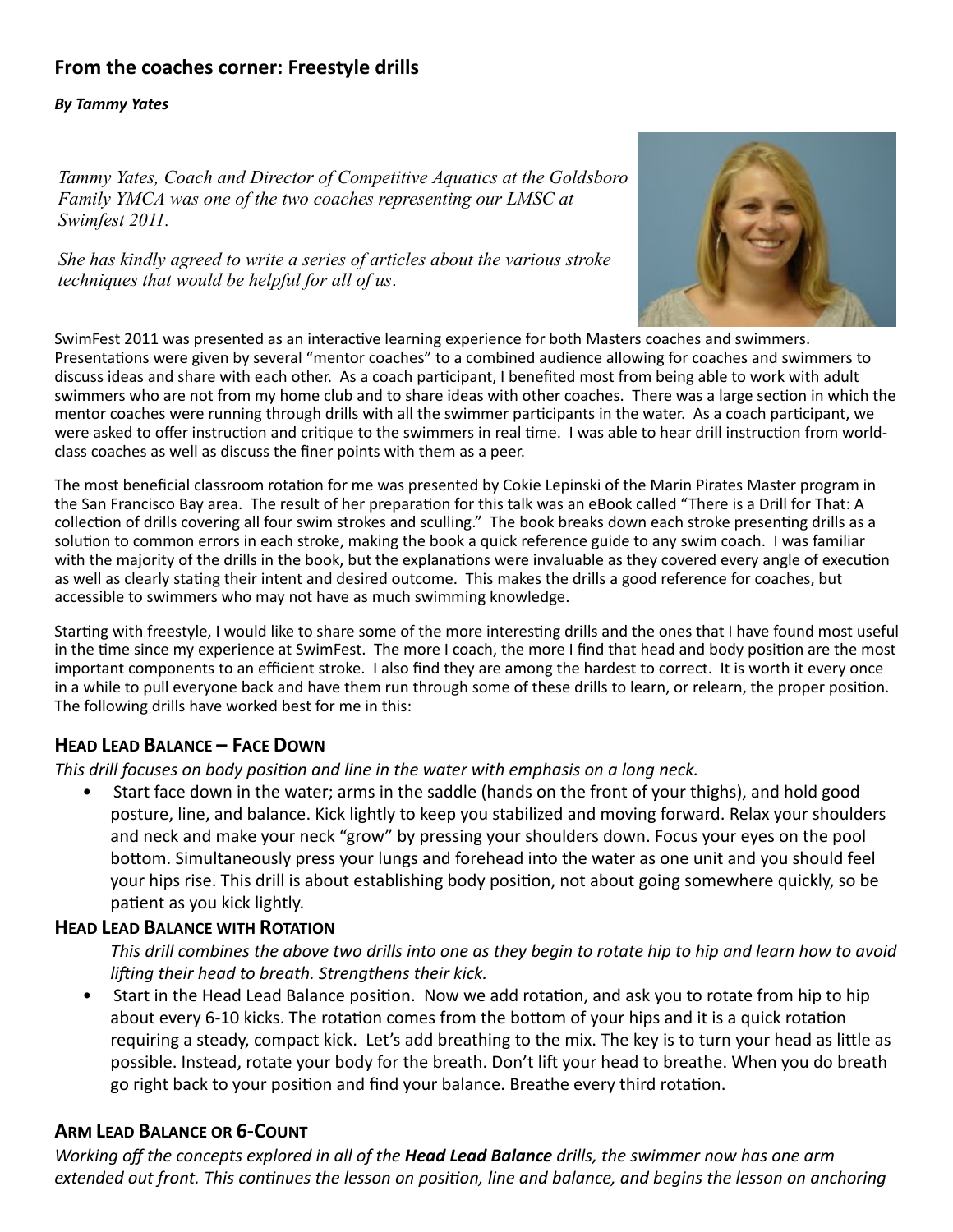# **From the coaches corner: Freestyle drills**

#### *By Tammy Yates*

*Tammy Yates, Coach and Director of Competitive Aquatics at the Goldsboro Family YMCA was one of the two coaches representing our LMSC at Swimfest 2011.*

*She has kindly agreed to write a series of articles about the various stroke techniques that would be helpful for all of us*.



SwimFest 2011 was presented as an interactive learning experience for both Masters coaches and swimmers. Presentations were given by several "mentor coaches" to a combined audience allowing for coaches and swimmers to discuss ideas and share with each other. As a coach participant, I benefited most from being able to work with adult swimmers who are not from my home club and to share ideas with other coaches. There was a large section in which the mentor coaches were running through drills with all the swimmer participants in the water. As a coach participant, we were asked to offer instruction and critique to the swimmers in real time. I was able to hear drill instruction from worldclass coaches as well as discuss the finer points with them as a peer.

The most beneficial classroom rotation for me was presented by Cokie Lepinski of the Marin Pirates Master program in the San Francisco Bay area. The result of her preparation for this talk was an eBook called "There is a Drill for That: A collection of drills covering all four swim strokes and sculling." The book breaks down each stroke presenting drills as a solution to common errors in each stroke, making the book a quick reference guide to any swim coach. I was familiar with the majority of the drills in the book, but the explanations were invaluable as they covered every angle of execution as well as clearly stating their intent and desired outcome. This makes the drills a good reference for coaches, but accessible to swimmers who may not have as much swimming knowledge.

Starting with freestyle, I would like to share some of the more interesting drills and the ones that I have found most useful in the time since my experience at SwimFest. The more I coach, the more I find that head and body position are the most important components to an efficient stroke. I also find they are among the hardest to correct. It is worth it every once in a while to pull everyone back and have them run through some of these drills to learn, or relearn, the proper position. The following drills have worked best for me in this:

## **HEAD LEAD BALANCE – FACE DOWN**

This drill focuses on body position and line in the water with emphasis on a long neck.

• Start face down in the water; arms in the saddle (hands on the front of your thighs), and hold good posture, line, and balance. Kick lightly to keep you stabilized and moving forward. Relax your shoulders and neck and make your neck "grow" by pressing your shoulders down. Focus your eyes on the pool bottom. Simultaneously press your lungs and forehead into the water as one unit and you should feel your hips rise. This drill is about establishing body position, not about going somewhere quickly, so be patient as you kick lightly.

## **HEAD LEAD BALANCE WITH ROTATION**

*This drill combines the above two drills into one as they begin to rotate hip to hip and learn how to avoid liing their head to breath. Strengthens their kick.*

Start in the Head Lead Balance position. Now we add rotation, and ask you to rotate from hip to hip about every 6-10 kicks. The rotation comes from the bottom of your hips and it is a quick rotation requiring a steady, compact kick. Let's add breathing to the mix. The key is to turn your head as little as possible. Instead, rotate your body for the breath. Don't lift your head to breathe. When you do breath go right back to your position and find your balance. Breathe every third rotation.

## **ARM LEAD BALANCE OR 6-COUNT**

*Working off the concepts explored in all of the Head Lead Balance drills, the swimmer now has one arm extended out front. This continues the lesson on position, line and balance, and begins the lesson on anchoring*